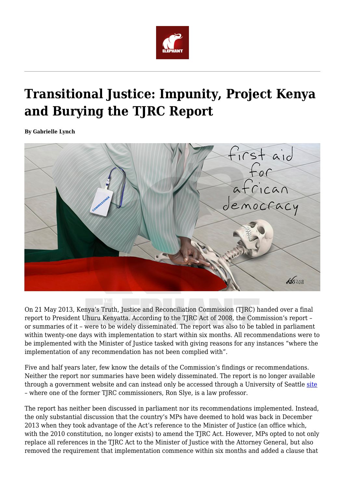

## **Transitional Justice: Impunity, Project Kenya and Burying the TJRC Report**

**By Gabrielle Lynch**



On 21 May 2013, Kenya's Truth, Justice and Reconciliation Commission (TJRC) handed over a final report to President Uhuru Kenyatta. According to the TJRC Act of 2008, the Commission's report – or summaries of it – were to be widely disseminated. The report was also to be tabled in parliament within twenty-one days with implementation to start within six months. All recommendations were to be implemented with the Minister of Justice tasked with giving reasons for any instances "where the implementation of any recommendation has not been complied with".

Five and half years later, few know the details of the Commission's findings or recommendations. Neither the report nor summaries have been widely disseminated. The report is no longer available through a government website and can instead only be accessed through a University of Seattle [site](https://digitalcommons.law.seattleu.edu/tjrc-core/) – where one of the former TJRC commissioners, Ron Slye, is a law professor.

The report has neither been discussed in parliament nor its recommendations implemented. Instead, the only substantial discussion that the country's MPs have deemed to hold was back in December 2013 when they took advantage of the Act's reference to the Minister of Justice (an office which, with the 2010 constitution, no longer exists) to amend the TJRC Act. However, MPs opted to not only replace all references in the TJRC Act to the Minister of Justice with the Attorney General, but also removed the requirement that implementation commence within six months and added a clause that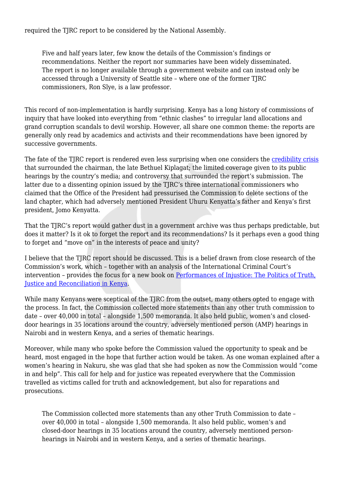required the TJRC report to be considered by the National Assembly.

Five and half years later, few know the details of the Commission's findings or recommendations. Neither the report nor summaries have been widely disseminated. The report is no longer available through a government website and can instead only be accessed through a University of Seattle site – where one of the former TJRC commissioners, Ron Slye, is a law professor.

This record of non-implementation is hardly surprising. Kenya has a long history of commissions of inquiry that have looked into everything from "ethnic clashes" to irregular land allocations and grand corruption scandals to devil worship. However, all share one common theme: the reports are generally only read by academics and activists and their recommendations have been ignored by successive governments.

The fate of the TJRC report is rendered even less surprising when one considers the [credibility crisis](https://www.justicetribune.com/articles/kenya-truth-commission-under-fire) that surrounded the chairman, the late Bethuel Kiplagat; the limited coverage given to its public hearings by the country's media; and controversy that surrounded the report's submission. The latter due to a dissenting opinion issued by the TJRC's three international commissioners who claimed that the Office of the President had pressurised the Commission to delete sections of the land chapter, which had adversely mentioned President Uhuru Kenyatta's father and Kenya's first president, Jomo Kenyatta.

That the TIRC's report would gather dust in a government archive was thus perhaps predictable, but does it matter? Is it ok to forget the report and its recommendations? Is it perhaps even a good thing to forget and "move on" in the interests of peace and unity?

I believe that the TJRC report should be discussed. This is a belief drawn from close research of the Commission's work, which – together with an analysis of the International Criminal Court's intervention – provides the focus for a new book on [Performances of Injustice: The Politics of Truth,](https://www.cambridge.org/core/books/performances-of-injustice/B74DCE995FB6F9DCB1AD4C3BECC07323%23fndtn-information) [Justice and Reconciliation in Kenya.](https://www.cambridge.org/core/books/performances-of-injustice/B74DCE995FB6F9DCB1AD4C3BECC07323%23fndtn-information)

While many Kenyans were sceptical of the TJRC from the outset, many others opted to engage with the process. In fact, the Commission collected more statements than any other truth commission to date – over 40,000 in total – alongside 1,500 memoranda. It also held public, women's and closeddoor hearings in 35 locations around the country, adversely mentioned person (AMP) hearings in Nairobi and in western Kenya, and a series of thematic hearings.

Moreover, while many who spoke before the Commission valued the opportunity to speak and be heard, most engaged in the hope that further action would be taken. As one woman explained after a women's hearing in Nakuru, she was glad that she had spoken as now the Commission would "come in and help". This call for help and for justice was repeated everywhere that the Commission travelled as victims called for truth and acknowledgement, but also for reparations and prosecutions.

The Commission collected more statements than any other Truth Commission to date – over 40,000 in total – alongside 1,500 memoranda. It also held public, women's and closed-door hearings in 35 locations around the country, adversely mentioned personhearings in Nairobi and in western Kenya, and a series of thematic hearings.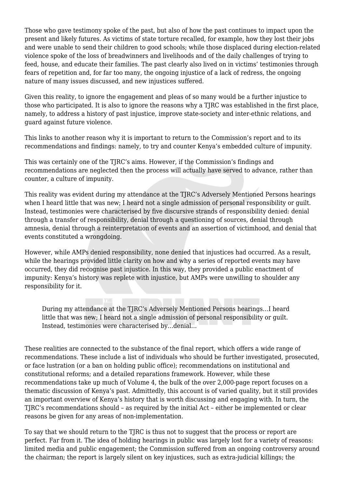Those who gave testimony spoke of the past, but also of how the past continues to impact upon the present and likely futures. As victims of state torture recalled, for example, how they lost their jobs and were unable to send their children to good schools; while those displaced during election-related violence spoke of the loss of breadwinners and livelihoods and of the daily challenges of trying to feed, house, and educate their families. The past clearly also lived on in victims' testimonies through fears of repetition and, for far too many, the ongoing injustice of a lack of redress, the ongoing nature of many issues discussed, and new injustices suffered.

Given this reality, to ignore the engagement and pleas of so many would be a further injustice to those who participated. It is also to ignore the reasons why a TIRC was established in the first place, namely, to address a history of past injustice, improve state-society and inter-ethnic relations, and guard against future violence.

This links to another reason why it is important to return to the Commission's report and to its recommendations and findings: namely, to try and counter Kenya's embedded culture of impunity.

This was certainly one of the TJRC's aims. However, if the Commission's findings and recommendations are neglected then the process will actually have served to advance, rather than counter, a culture of impunity.

This reality was evident during my attendance at the TJRC's Adversely Mentioned Persons hearings when I heard little that was new; I heard not a single admission of personal responsibility or quilt. Instead, testimonies were characterised by five discursive strands of responsibility denied: denial through a transfer of responsibility, denial through a questioning of sources, denial through amnesia, denial through a reinterpretation of events and an assertion of victimhood, and denial that events constituted a wrongdoing.

However, while AMPs denied responsibility, none denied that injustices had occurred. As a result, while the hearings provided little clarity on how and why a series of reported events may have occurred, they did recognise past injustice. In this way, they provided a public enactment of impunity: Kenya's history was replete with injustice, but AMPs were unwilling to shoulder any responsibility for it.

During my attendance at the TJRC's Adversely Mentioned Persons hearings…I heard little that was new; I heard not a single admission of personal responsibility or guilt. Instead, testimonies were characterised by…denial…

These realities are connected to the substance of the final report, which offers a wide range of recommendations. These include a list of individuals who should be further investigated, prosecuted, or face lustration (or a ban on holding public office); recommendations on institutional and constitutional reforms; and a detailed reparations framework. However, while these recommendations take up much of Volume 4, the bulk of the over 2,000-page report focuses on a thematic discussion of Kenya's past. Admittedly, this account is of varied quality, but it still provides an important overview of Kenya's history that is worth discussing and engaging with. In turn, the TJRC's recommendations should – as required by the initial Act – either be implemented or clear reasons be given for any areas of non-implementation.

To say that we should return to the TJRC is thus not to suggest that the process or report are perfect. Far from it. The idea of holding hearings in public was largely lost for a variety of reasons: limited media and public engagement; the Commission suffered from an ongoing controversy around the chairman; the report is largely silent on key injustices, such as extra-judicial killings; the